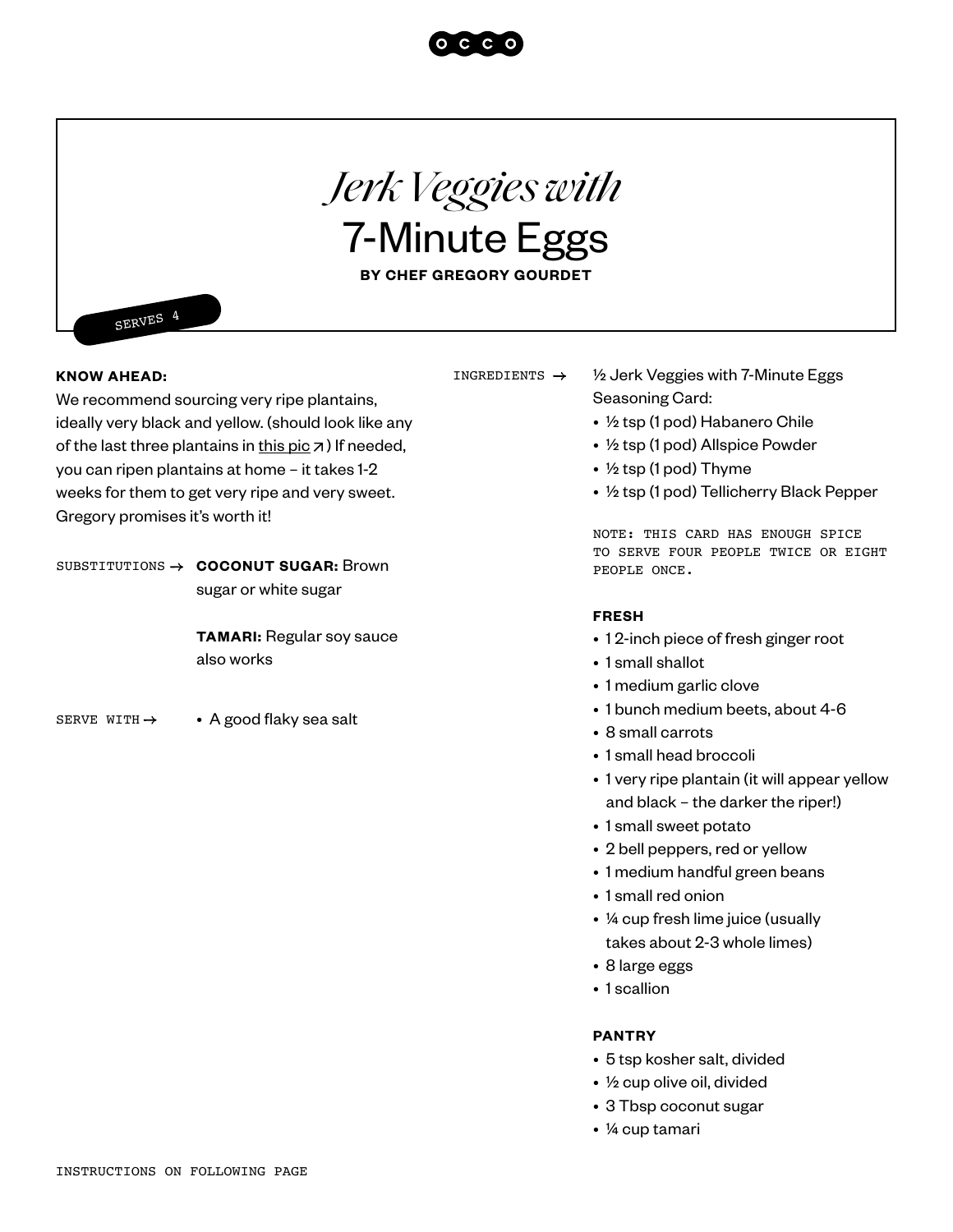### **KNOW AHEAD:**

SERVES 4

We recommend sourcing very ripe plantains, ideally very black and yellow. (should look like any of the last three plantains in [this pic](https://www.thepioneerwoman.com/food-cooking/recipes/a77725/whats-the-deal-with-plantains/)  $\overline{z}$ ) If needed, you can ripen plantains at home – it takes 1-2 weeks for them to get very ripe and very sweet. Gregory promises it's worth it!

SUBSTITUTIONS  $\rightarrow$  **COCONUT SUGAR:** Brown sugar or white sugar

> **TAMARI:** Regular soy sauce also works

SERVE WITH  $\rightarrow$   $\bullet$  A good flaky sea salt

# INGREDIENTS  $\rightarrow$

- ½ Jerk Veggies with 7-Minute Eggs Seasoning Card:
- ½ tsp (1 pod) Habanero Chile
- ½ tsp (1 pod) Allspice Powder
- ½ tsp (1 pod) Thyme
- ½ tsp (1 pod) Tellicherry Black Pepper

NOTE: THIS CARD HAS ENOUGH SPICE TO SERVE FOUR PEOPLE TWICE OR EIGHT PEOPLE ONCE.

#### **FRESH**

- 1 2-inch piece of fresh ginger root
- 1 small shallot
- 1 medium garlic clove
- 1 bunch medium beets, about 4-6
- 8 small carrots
- 1 small head broccoli
- 1 very ripe plantain (it will appear yellow and black – the darker the riper!)
- 1 small sweet potato
- 2 bell peppers, red or yellow
- 1 medium handful green beans
- 1 small red onion
- ¼ cup fresh lime juice (usually takes about 2-3 whole limes)
- 8 large eggs
- 1 scallion

## **PANTRY**

- 5 tsp kosher salt, divided
- ½ cup olive oil, divided
- 3 Tbsp coconut sugar
- ¼ cup tamari



*Jerk Veggies with*

7-Minute Eggs

**BY CHEF GREGORY GOURDET**